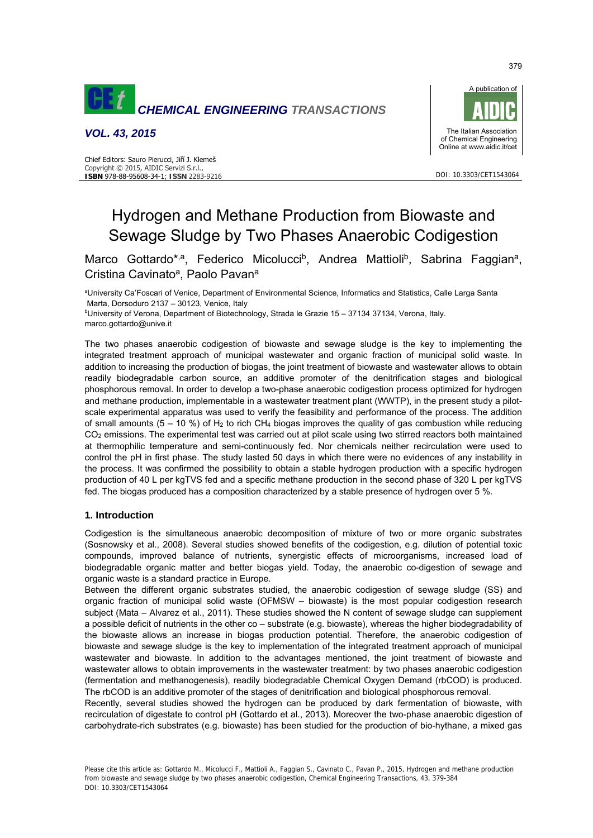

# *VOL. 43, 2015*

DOI: 10.3303/CET1543064

Chief Editors: Sauro Pierucci, Jiří J. Klemeš Copyright © 2015, AIDIC Servizi S.r.l., **ISBN** 978-88-95608-34-1; **ISSN** 2283-9216

# Hydrogen and Methane Production from Biowaste and Sewage Sludge by Two Phases Anaerobic Codigestion

Marco Gottardo\*,<sup>a</sup>, Federico Micolucci<sup>b</sup>, Andrea Mattioli<sup>b</sup>, Sabrina Faggian<sup>a</sup>, Cristina Cavinato<sup>a</sup>, Paolo Pavan<sup>a</sup>

aUniversity Ca'Foscari of Venice, Department of Environmental Science, Informatics and Statistics, Calle Larga Santa Marta, Dorsoduro 2137 – 30123, Venice, Italy <sup>b</sup>University of Verona, Department of Biotechnology, Strada le Grazie 15 - 37134 37134, Verona, Italy.

marco.gottardo@unive.it

The two phases anaerobic codigestion of biowaste and sewage sludge is the key to implementing the integrated treatment approach of municipal wastewater and organic fraction of municipal solid waste. In addition to increasing the production of biogas, the joint treatment of biowaste and wastewater allows to obtain readily biodegradable carbon source, an additive promoter of the denitrification stages and biological phosphorous removal. In order to develop a two-phase anaerobic codigestion process optimized for hydrogen and methane production, implementable in a wastewater treatment plant (WWTP), in the present study a pilotscale experimental apparatus was used to verify the feasibility and performance of the process. The addition of small amounts (5 – 10 %) of  $H_2$  to rich CH<sub>4</sub> biogas improves the quality of gas combustion while reducing CO2 emissions. The experimental test was carried out at pilot scale using two stirred reactors both maintained at thermophilic temperature and semi-continuously fed. Nor chemicals neither recirculation were used to control the pH in first phase. The study lasted 50 days in which there were no evidences of any instability in the process. It was confirmed the possibility to obtain a stable hydrogen production with a specific hydrogen production of 40 L per kgTVS fed and a specific methane production in the second phase of 320 L per kgTVS fed. The biogas produced has a composition characterized by a stable presence of hydrogen over 5 %.

## **1. Introduction**

Codigestion is the simultaneous anaerobic decomposition of mixture of two or more organic substrates (Sosnowsky et al., 2008). Several studies showed benefits of the codigestion, e.g. dilution of potential toxic compounds, improved balance of nutrients, synergistic effects of microorganisms, increased load of biodegradable organic matter and better biogas yield. Today, the anaerobic co-digestion of sewage and organic waste is a standard practice in Europe.

Between the different organic substrates studied, the anaerobic codigestion of sewage sludge (SS) and organic fraction of municipal solid waste (OFMSW – biowaste) is the most popular codigestion research subject (Mata – Alvarez et al., 2011). These studies showed the N content of sewage sludge can supplement a possible deficit of nutrients in the other co – substrate (e.g. biowaste), whereas the higher biodegradability of the biowaste allows an increase in biogas production potential. Therefore, the anaerobic codigestion of biowaste and sewage sludge is the key to implementation of the integrated treatment approach of municipal wastewater and biowaste. In addition to the advantages mentioned, the joint treatment of biowaste and wastewater allows to obtain improvements in the wastewater treatment: by two phases anaerobic codigestion (fermentation and methanogenesis), readily biodegradable Chemical Oxygen Demand (rbCOD) is produced. The rbCOD is an additive promoter of the stages of denitrification and biological phosphorous removal.

Recently, several studies showed the hydrogen can be produced by dark fermentation of biowaste, with recirculation of digestate to control pH (Gottardo et al., 2013). Moreover the two-phase anaerobic digestion of carbohydrate-rich substrates (e.g. biowaste) has been studied for the production of bio-hythane, a mixed gas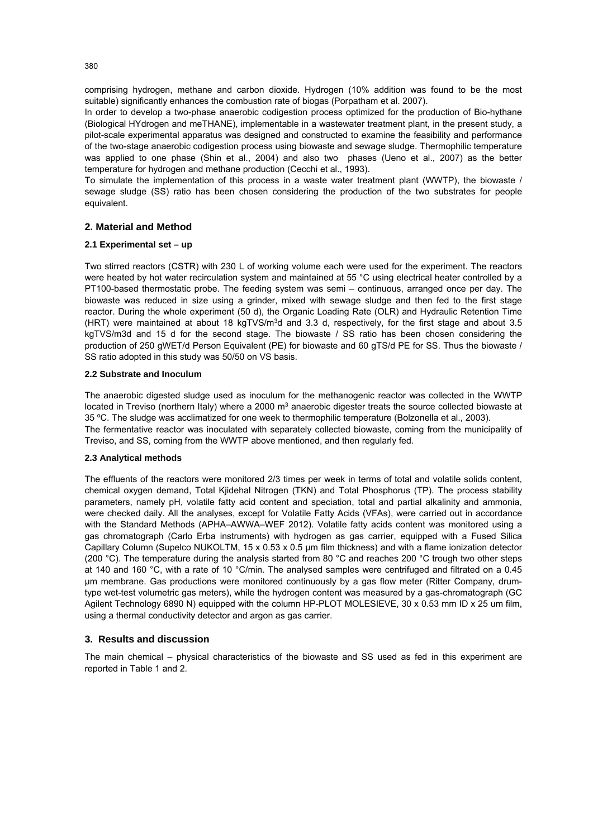comprising hydrogen, methane and carbon dioxide. Hydrogen (10% addition was found to be the most suitable) significantly enhances the combustion rate of biogas (Porpatham et al. 2007).

In order to develop a two-phase anaerobic codigestion process optimized for the production of Bio-hythane (Biological HYdrogen and meTHANE), implementable in a wastewater treatment plant, in the present study, a pilot-scale experimental apparatus was designed and constructed to examine the feasibility and performance of the two-stage anaerobic codigestion process using biowaste and sewage sludge. Thermophilic temperature was applied to one phase (Shin et al., 2004) and also two phases (Ueno et al., 2007) as the better temperature for hydrogen and methane production (Cecchi et al., 1993).

To simulate the implementation of this process in a waste water treatment plant (WWTP), the biowaste / sewage sludge (SS) ratio has been chosen considering the production of the two substrates for people equivalent.

## **2. Material and Method**

#### **2.1 Experimental set – up**

Two stirred reactors (CSTR) with 230 L of working volume each were used for the experiment. The reactors were heated by hot water recirculation system and maintained at 55 °C using electrical heater controlled by a PT100-based thermostatic probe. The feeding system was semi – continuous, arranged once per day. The biowaste was reduced in size using a grinder, mixed with sewage sludge and then fed to the first stage reactor. During the whole experiment (50 d), the Organic Loading Rate (OLR) and Hydraulic Retention Time (HRT) were maintained at about 18 kgTVS/m<sup>3</sup>d and 3.3 d, respectively, for the first stage and about 3.5 kgTVS/m3d and 15 d for the second stage. The biowaste / SS ratio has been chosen considering the production of 250 gWET/d Person Equivalent (PE) for biowaste and 60 gTS/d PE for SS. Thus the biowaste / SS ratio adopted in this study was 50/50 on VS basis.

#### **2.2 Substrate and Inoculum**

The anaerobic digested sludge used as inoculum for the methanogenic reactor was collected in the WWTP located in Treviso (northern Italy) where a 2000  $m<sup>3</sup>$  anaerobic digester treats the source collected biowaste at 35 ºC. The sludge was acclimatized for one week to thermophilic temperature (Bolzonella et al., 2003). The fermentative reactor was inoculated with separately collected biowaste, coming from the municipality of Treviso, and SS, coming from the WWTP above mentioned, and then regularly fed.

#### **2.3 Analytical methods**

The effluents of the reactors were monitored 2/3 times per week in terms of total and volatile solids content, chemical oxygen demand, Total Kjidehal Nitrogen (TKN) and Total Phosphorus (TP). The process stability parameters, namely pH, volatile fatty acid content and speciation, total and partial alkalinity and ammonia, were checked daily. All the analyses, except for Volatile Fatty Acids (VFAs), were carried out in accordance with the Standard Methods (APHA–AWWA–WEF 2012). Volatile fatty acids content was monitored using a gas chromatograph (Carlo Erba instruments) with hydrogen as gas carrier, equipped with a Fused Silica Capillary Column (Supelco NUKOLTM, 15 x 0.53 x 0.5 µm film thickness) and with a flame ionization detector (200 °C). The temperature during the analysis started from 80 °C and reaches 200 °C trough two other steps at 140 and 160 °C, with a rate of 10 °C/min. The analysed samples were centrifuged and filtrated on a 0.45 µm membrane. Gas productions were monitored continuously by a gas flow meter (Ritter Company, drumtype wet-test volumetric gas meters), while the hydrogen content was measured by a gas-chromatograph (GC Agilent Technology 6890 N) equipped with the column HP-PLOT MOLESIEVE, 30 x 0.53 mm ID x 25 um film, using a thermal conductivity detector and argon as gas carrier.

## **3. Results and discussion**

The main chemical – physical characteristics of the biowaste and SS used as fed in this experiment are reported in Table 1 and 2.

380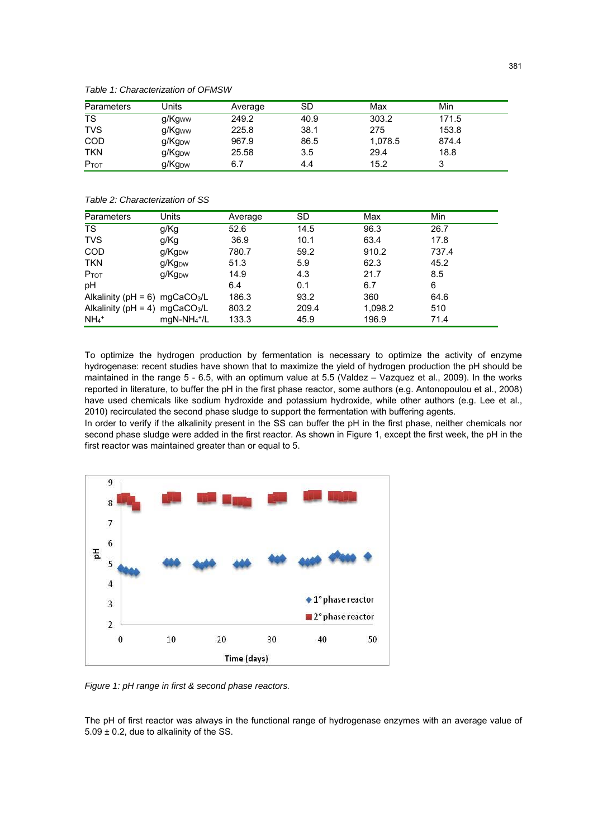*Table 1: Characterization of OFMSW* 

| Parameters       | Units              | Average | SD   | Max     | Min   |  |
|------------------|--------------------|---------|------|---------|-------|--|
| TS               | g/Kg <sub>ww</sub> | 249.2   | 40.9 | 303.2   | 171.5 |  |
| <b>TVS</b>       | g/Kgww             | 225.8   | 38.1 | 275     | 153.8 |  |
| COD              | g/Kg <sub>DW</sub> | 967.9   | 86.5 | 1.078.5 | 874.4 |  |
| <b>TKN</b>       | g/Kg <sub>bw</sub> | 25.58   | 3.5  | 29.4    | 18.8  |  |
| P <sub>TOT</sub> | g/Kg <sub>bw</sub> | 6.7     | 4.4  | 15.2    | J     |  |

*Table 2: Characterization of SS* 

| Parameters                                     | Units              | Average | SD    | Max     | Min   |  |
|------------------------------------------------|--------------------|---------|-------|---------|-------|--|
| TS                                             | g/Kg               | 52.6    | 14.5  | 96.3    | 26.7  |  |
| <b>TVS</b>                                     | g/Kg               | 36.9    | 10.1  | 63.4    | 17.8  |  |
| <b>COD</b>                                     | g/Kg <sub>bw</sub> | 780.7   | 59.2  | 910.2   | 737.4 |  |
| <b>TKN</b>                                     | g/Kg <sub>bw</sub> | 51.3    | 5.9   | 62.3    | 45.2  |  |
| P <sub>TOT</sub>                               | g/Kg <sub>bw</sub> | 14.9    | 4.3   | 21.7    | 8.5   |  |
| pH                                             |                    | 6.4     | 0.1   | 6.7     | 6     |  |
| Alkalinity ( $pH = 6$ ) mgCaCO <sub>3</sub> /L |                    | 186.3   | 93.2  | 360     | 64.6  |  |
| Alkalinity ( $pH = 4$ ) mgCaCO <sub>3</sub> /L |                    | 803.2   | 209.4 | 1,098.2 | 510   |  |
| $NH4+$                                         | $mgN-NH4+/L$       | 133.3   | 45.9  | 196.9   | 71.4  |  |

To optimize the hydrogen production by fermentation is necessary to optimize the activity of enzyme hydrogenase: recent studies have shown that to maximize the yield of hydrogen production the pH should be maintained in the range 5 - 6.5, with an optimum value at 5.5 (Valdez – Vazquez et al., 2009). In the works reported in literature, to buffer the pH in the first phase reactor, some authors (e.g. Antonopoulou et al., 2008) have used chemicals like sodium hydroxide and potassium hydroxide, while other authors (e.g. Lee et al., 2010) recirculated the second phase sludge to support the fermentation with buffering agents.

In order to verify if the alkalinity present in the SS can buffer the pH in the first phase, neither chemicals nor second phase sludge were added in the first reactor. As shown in Figure 1, except the first week, the pH in the first reactor was maintained greater than or equal to 5.



*Figure 1: pH range in first & second phase reactors.* 

The pH of first reactor was always in the functional range of hydrogenase enzymes with an average value of  $5.09 \pm 0.2$ , due to alkalinity of the SS.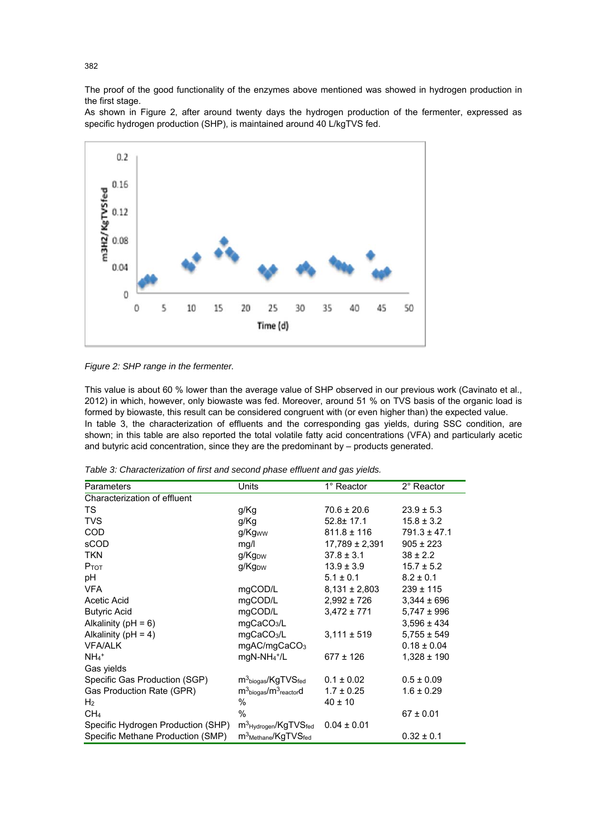The proof of the good functionality of the enzymes above mentioned was showed in hydrogen production in the first stage.

As shown in Figure 2, after around twenty days the hydrogen production of the fermenter, expressed as specific hydrogen production (SHP), is maintained around 40 L/kgTVS fed.



*Figure 2: SHP range in the fermenter.* 

This value is about 60 % lower than the average value of SHP observed in our previous work (Cavinato et al., 2012) in which, however, only biowaste was fed. Moreover, around 51 % on TVS basis of the organic load is formed by biowaste, this result can be considered congruent with (or even higher than) the expected value. In table 3, the characterization of effluents and the corresponding gas yields, during SSC condition, are shown; in this table are also reported the total volatile fatty acid concentrations (VFA) and particularly acetic and butyric acid concentration, since they are the predominant by – products generated.

|  | Table 3: Characterization of first and second phase effluent and gas yields. |  |
|--|------------------------------------------------------------------------------|--|
|  |                                                                              |  |

| Parameters                         | Units                                                              | 1° Reactor         | 2° Reactor       |
|------------------------------------|--------------------------------------------------------------------|--------------------|------------------|
| Characterization of effluent       |                                                                    |                    |                  |
| TS                                 | g/Kg                                                               | $70.6 \pm 20.6$    | $23.9 \pm 5.3$   |
| <b>TVS</b>                         | g/Kg                                                               | $52.8 \pm 17.1$    | $15.8 \pm 3.2$   |
| <b>COD</b>                         | g/Kgww                                                             | $811.8 \pm 116$    | $791.3 \pm 47.1$ |
| sCOD                               | mg/l                                                               | $17,789 \pm 2,391$ | $905 \pm 223$    |
| <b>TKN</b>                         | g/Kg <sub>DW</sub>                                                 | $37.8 \pm 3.1$     | $38 \pm 2.2$     |
| $P$ <sub>TOT</sub>                 | g/Kg <sub>bw</sub>                                                 | $13.9 \pm 3.9$     | $15.7 \pm 5.2$   |
| рH                                 |                                                                    | $5.1 \pm 0.1$      | $8.2 \pm 0.1$    |
| <b>VFA</b>                         | mgCOD/L                                                            | $8,131 \pm 2,803$  | $239 \pm 115$    |
| Acetic Acid                        | mgCOD/L                                                            | $2,992 \pm 726$    | $3,344 \pm 696$  |
| <b>Butyric Acid</b>                | mgCOD/L                                                            | $3,472 \pm 771$    | $5.747 \pm 996$  |
| Alkalinity ( $pH = 6$ )            | mgCaCO <sub>3</sub> /L                                             |                    | $3.596 \pm 434$  |
| Alkalinity ( $pH = 4$ )            | mgCaCO <sub>3</sub> /L                                             | $3,111 \pm 519$    | $5.755 \pm 549$  |
| <b>VFA/ALK</b>                     | mgAC/mgCaCO <sub>3</sub>                                           |                    | $0.18 \pm 0.04$  |
| $NH4+$                             | $mgN-NH4+/L$                                                       | $677 \pm 126$      | $1,328 \pm 190$  |
| Gas yields                         |                                                                    |                    |                  |
| Specific Gas Production (SGP)      | $\text{m}^3$ <sub>biogas</sub> /KgTVS <sub>fed</sub>               | $0.1 \pm 0.02$     | $0.5 \pm 0.09$   |
| Gas Production Rate (GPR)          | $\text{m}^3$ <sub>biogas</sub> / $\text{m}^3$ <sub>reactor</sub> d | $1.7 \pm 0.25$     | $1.6 \pm 0.29$   |
| H <sub>2</sub>                     | %                                                                  | $40 \pm 10$        |                  |
| CH <sub>4</sub>                    | $\%$                                                               |                    | $67 \pm 0.01$    |
| Specific Hydrogen Production (SHP) | $m3$ Hydrogen/KgTVSfed 0.04 $\pm$ 0.01                             |                    |                  |
| Specific Methane Production (SMP)  | m <sup>3</sup> Methane/KgTVSfed                                    |                    | $0.32 \pm 0.1$   |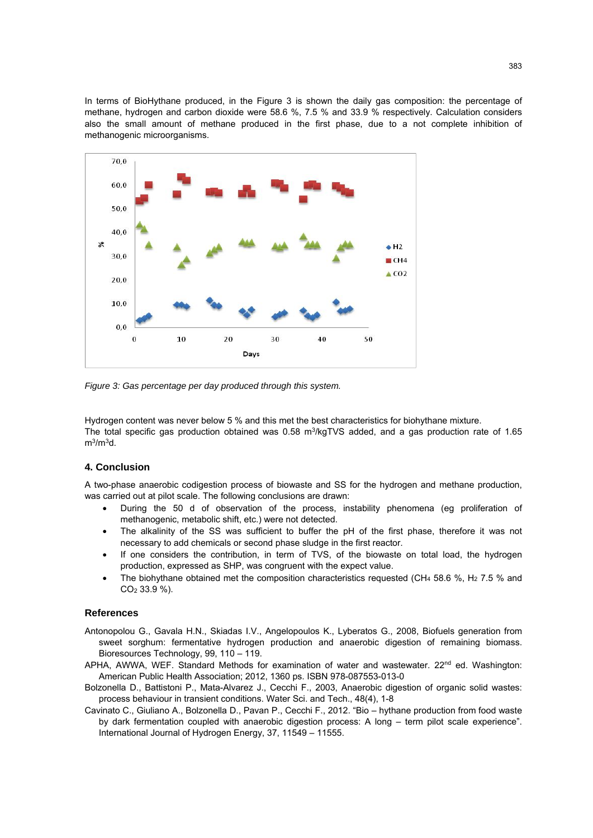In terms of BioHythane produced, in the Figure 3 is shown the daily gas composition: the percentage of methane, hydrogen and carbon dioxide were 58.6 %, 7.5 % and 33.9 % respectively. Calculation considers also the small amount of methane produced in the first phase, due to a not complete inhibition of methanogenic microorganisms.



*Figure 3: Gas percentage per day produced through this system.* 

Hydrogen content was never below 5 % and this met the best characteristics for biohythane mixture. The total specific gas production obtained was  $0.58 \text{ m}^3/\text{kgTVS}$  added, and a gas production rate of 1.65  $m^3/m^3d$ .

## **4. Conclusion**

A two-phase anaerobic codigestion process of biowaste and SS for the hydrogen and methane production, was carried out at pilot scale. The following conclusions are drawn:

- During the 50 d of observation of the process, instability phenomena (eg proliferation of methanogenic, metabolic shift, etc.) were not detected.
- The alkalinity of the SS was sufficient to buffer the pH of the first phase, therefore it was not necessary to add chemicals or second phase sludge in the first reactor.
- If one considers the contribution, in term of TVS, of the biowaste on total load, the hydrogen production, expressed as SHP, was congruent with the expect value.
- The biohythane obtained met the composition characteristics requested (CH<sub>4</sub> 58.6 %, H<sub>2</sub> 7.5 % and CO2 33.9 %).

#### **References**

- Antonopolou G., Gavala H.N., Skiadas I.V., Angelopoulos K., Lyberatos G., 2008, Biofuels generation from sweet sorghum: fermentative hydrogen production and anaerobic digestion of remaining biomass. Bioresources Technology, 99, 110 – 119.
- APHA, AWWA, WEF. Standard Methods for examination of water and wastewater. 22<sup>nd</sup> ed. Washington: American Public Health Association; 2012, 1360 ps. ISBN 978-087553-013-0
- Bolzonella D., Battistoni P., Mata-Alvarez J., Cecchi F., 2003, Anaerobic digestion of organic solid wastes: process behaviour in transient conditions. Water Sci. and Tech., 48(4), 1-8
- Cavinato C., Giuliano A., Bolzonella D., Pavan P., Cecchi F., 2012. "Bio hythane production from food waste by dark fermentation coupled with anaerobic digestion process: A long – term pilot scale experience". International Journal of Hydrogen Energy, 37, 11549 – 11555.